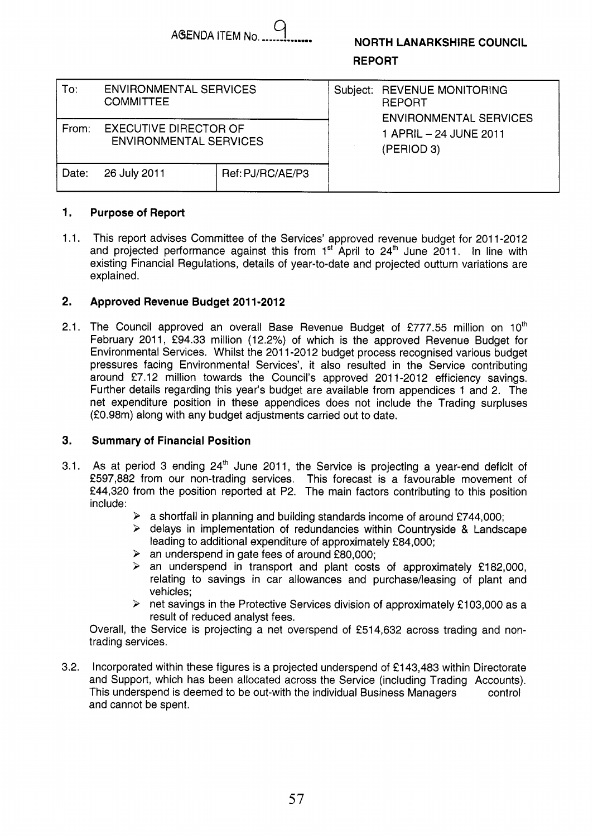$\overline{a}$ **AGENDA ITEM No...** 

# **NORTH LANARKSHIRE COUNCIL REPORT**

| To:   | <b>ENVIRONMENTAL SERVICES</b><br><b>COMMITTEE</b>             |                  |  | Subject: REVENUE MONITORING<br><b>REPORT</b><br><b>ENVIRONMENTAL SERVICES</b> |
|-------|---------------------------------------------------------------|------------------|--|-------------------------------------------------------------------------------|
| From: | <b>EXECUTIVE DIRECTOR OF</b><br><b>ENVIRONMENTAL SERVICES</b> |                  |  | 1 APRIL - 24 JUNE 2011<br>(PERIOD 3)                                          |
| Date: | 26 July 2011                                                  | Ref: PJ/RC/AE/P3 |  |                                                                               |

#### **1. Purpose of Report**

**1.1.**  This report advises Committee of the Services' approved revenue budget for **201 1-2012**  and projected performance against this from **1''** April to **24'** June **2011.** In line with existing Financial Regulations, details of year-to-date and projected outturn variations are explained.

#### **2. Approved Revenue Budget 201 1-201 2**

**2.1.**  The Council approved an overall Base Revenue Budget of **€777.55** million on **loth**  February **2011, €94.33** million **(12.2%)** of which is the approved Revenue Budget for Environmental Services. Whilst the **201 1-201 2** budget process recognised various budget pressures facing Environmental Services', it also resulted in the Service contributing around £7.12 million towards the Council's approved 2011-2012 efficiency savings. Further details regarding this year's budget are available from appendices **1** and **2.** The net expenditure position in these appendices does not include the Trading surpluses **(f0.98m)** along with any budget adjustments carried out to date.

#### **3. Summary of Financial Position**

- **3.1.**  As at period **3** ending **24'h** June **201 1,** the Service is projecting a year-end deficit of **€597,882** from our non-trading services. This forecast is a favourable movement of **€44,320** from the position reported at P2. The main factors contributing to this position include:
	- **P** a shortfall in planning and building standards income of around **€744,000;**
	- **3** delays in implementation of redundancies within Countryside & Landscape leading to additional expenditure of approximately **€84,000;**
	- **3** an underspend in gate fees of around **€80,000;**
	- > an underspend in transport and plant costs of approximately **€182,000,**  relating to savings in car allowances and purchase/leasing of plant and vehicles;
	- *3* net savings in the Protective Services division of approximately **€1 03,000** as a result of reduced analyst fees.

Overall, the Service is projecting a net overspend of **€514,632** across trading and nontrading services.

**3.2.**  Incorporated within these figures is a projected underspend of **€1 43,483** within Directorate and Support, which has been allocated across the Service (including Trading Accounts). This underspend is deemed to be out-with the individual Business Managers and cannot be spent. control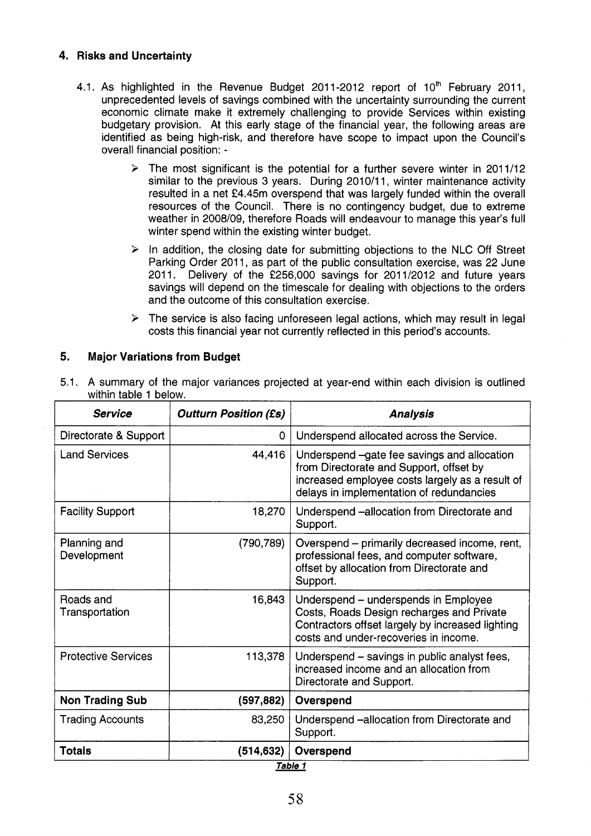# **4. Risks and Uncertainty**

- 4.1. As highlighted in the Revenue Budget 2011-2012 report of  $10<sup>th</sup>$  February 2011, unprecedented levels of savings combined with the uncertainty surrounding the current economic climate make it extremely challenging to provide Services within existing budgetary provision. At this early stage of the financial year, the following areas are identified as being high-risk, and therefore have scope to impact upon the Council's overall financial position: -
	- $\triangleright$  The most significant is the potential for a further severe winter in 2011/12 similar to the previous 3 years. During 2010/11, winter maintenance activity resulted in a net £4.45m overspend that was largely funded within the overall resources of the Council. There is no contingency budget, due to extreme weather in 2008/09, therefore Roads will endeavour to manage this year's full winter spend within the existing winter budget.
	- **k** In addition, the closing date for submitting objections to the NLC Off Street Parking Order 2011, as part of the public consultation exercise, was 22 June 2011. Delivery of the f256,OOO savings for 2011/2012 and future years savings will depend on the timescale for dealing with objections to the orders and the outcome of this consultation exercise.
	- $\triangleright$  The service is also facing unforeseen legal actions, which may result in legal costs this financial year not currently reflected in this period's accounts.

# **5. Major Variations from Budget**

5.1. **A** summary of the major variances projected at year-end within each division is outlined within table 1 below.

| <b>Service</b>              | <b>Outturn Position (£s)</b> | <b>Analysis</b>                                                                                                                                                                       |  |  |  |  |  |  |  |  |
|-----------------------------|------------------------------|---------------------------------------------------------------------------------------------------------------------------------------------------------------------------------------|--|--|--|--|--|--|--|--|
| Directorate & Support       | 0                            | Underspend allocated across the Service.                                                                                                                                              |  |  |  |  |  |  |  |  |
| <b>Land Services</b>        | 44,416                       | Underspend -gate fee savings and allocation<br>from Directorate and Support, offset by<br>increased employee costs largely as a result of<br>delays in implementation of redundancies |  |  |  |  |  |  |  |  |
| <b>Facility Support</b>     | 18,270                       | Underspend -allocation from Directorate and<br>Support.                                                                                                                               |  |  |  |  |  |  |  |  |
| Planning and<br>Development | (790, 789)                   | Overspend - primarily decreased income, rent,<br>professional fees, and computer software,<br>offset by allocation from Directorate and<br>Support.                                   |  |  |  |  |  |  |  |  |
| Roads and<br>Transportation | 16,843                       | Underspend - underspends in Employee<br>Costs, Roads Design recharges and Private<br>Contractors offset largely by increased lighting<br>costs and under-recoveries in income.        |  |  |  |  |  |  |  |  |
| <b>Protective Services</b>  | 113,378                      | Underspend – savings in public analyst fees,<br>increased income and an allocation from<br>Directorate and Support.                                                                   |  |  |  |  |  |  |  |  |
| <b>Non Trading Sub</b>      | (597, 882)                   | Overspend                                                                                                                                                                             |  |  |  |  |  |  |  |  |
| <b>Trading Accounts</b>     | 83,250                       | Underspend -allocation from Directorate and<br>Support.                                                                                                                               |  |  |  |  |  |  |  |  |
| <b>Totals</b>               | (514, 632)                   | Overspend                                                                                                                                                                             |  |  |  |  |  |  |  |  |
| Table 1                     |                              |                                                                                                                                                                                       |  |  |  |  |  |  |  |  |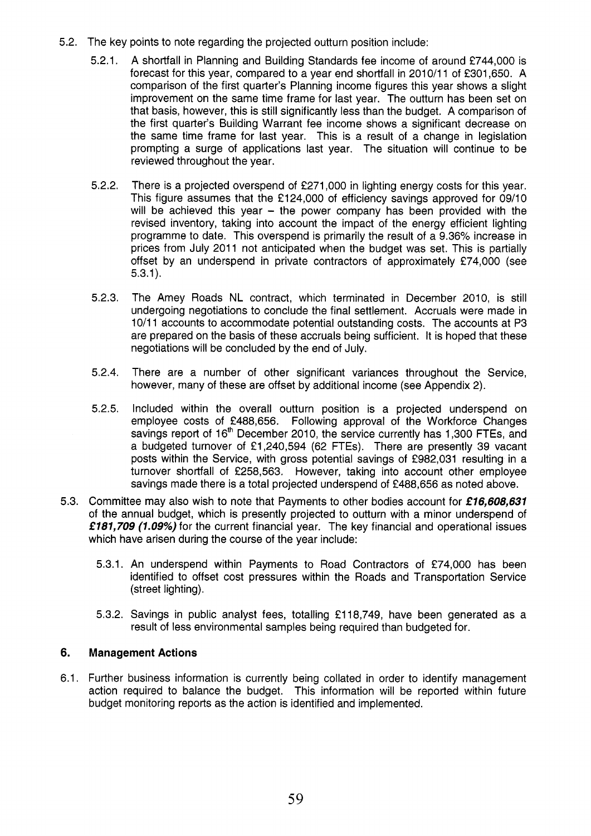- 5.2. The key points to note regarding the projected outturn position include:
	- 5.2.1. A shortfall in Planning and Building Standards fee income of around €744,000 is forecast for this year, compared to a year end shortfall in 2010/11 of £301,650. A comparison of the first quarter's Planning income figures this year shows a slight improvement on the same time frame for last year. The outturn has been set on that basis, however, this is still significantly less than the budget. A comparison of the first quarter's Building Warrant fee income shows a significant decrease on the same time frame for last year. This is a result of a change in legislation prompting a surge of applications last year. The situation will continue to be reviewed throughout the year.
	- 5.2.2. There is a projected overspend of €271,000 in lighting energy costs for this year. This figure assumes that the €124,000 of efficiency savings approved for 09/10 will be achieved this year  $-$  the power company has been provided with the revised inventory, taking into account the impact of the energy efficient lighting programme to date. This overspend is primarily the result of a 9.36% increase in prices from July 2011 not anticipated when the budget was set. This is partially offset by an underspend in private contractors of approximately €74,000 (see 5.3.1).
	- 5.2.3. The Amey Roads NL contract, which terminated in December 2010, is still undergoing negotiations to conclude the final settlement. Accruals were made in 10/11 accounts to accommodate potential outstanding costs. The accounts at P3 are prepared on the basis of these accruals being sufficient. It is hoped that these negotiations will be concluded by the end of July.
	- 5.2.4. There are a number of other significant variances throughout the Service, however, many of these are offset by additional income (see Appendix 2).
	- 5.2.5. Included within the overall outturn position is a projected underspend on employee costs of €488,656. Following approval of the Workforce Changes savings report of  $16<sup>th</sup>$  December 2010, the service currently has 1,300 FTEs, and a budgeted turnover of €1,240,594 (62 FTEs). There are presently 39 vacant posts within the Service, with gross potential savings of €982,031 resulting in a turnover shortfall of €258,563. However, taking into account other employee savings made there is a total projected underspend of €488,656 as noted above.
- 5.3. Committee may also wish to note that Payments to other bodies account for *€16,608,637*  of the annual budget, which is presently projected to outturn with a minor underspend of **f** *787,709 (7.09%)* for the current financial year. The key financial and operational issues which have arisen during the course of the year include:
	- 5.3.1. An underspend within Payments to Road Contractors of €74,000 has been identified to offset cost pressures within the Roads and Transportation Service (street lighting).
	- 5.3.2. Savings in public analyst fees, totalling €118,749, have been generated as a result of less environmental samples being required than budgeted for.

# **6. Management Actions**

6.1. Further business information is currently being collated in order to identify management action required to balance the budget. This information will be reported within future budget monitoring reports as the action is identified and implemented.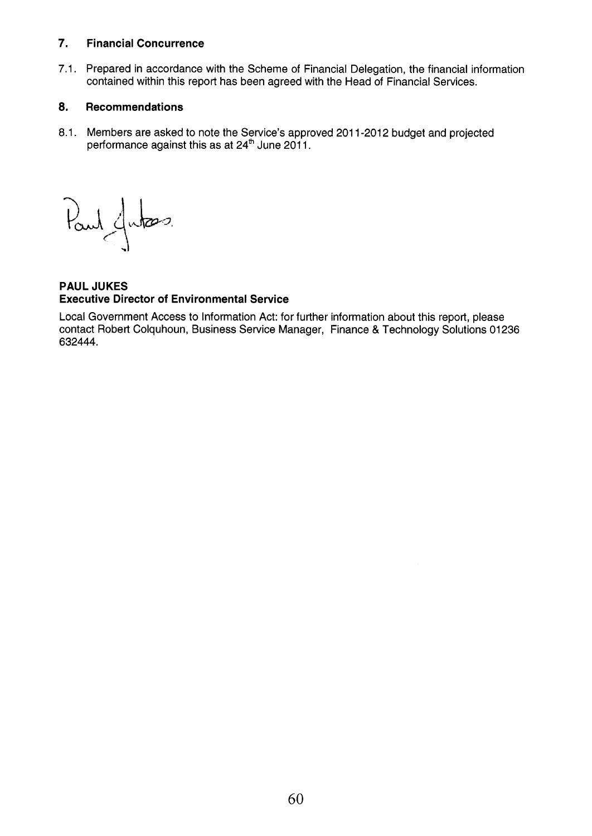# **7. Financial Concurrence**

7.1. Prepared in accordance with the Scheme of Financial Delegation, the financial information contained within this report has been agreed with the Head of Financial Services.

# **8. Recommendations**

8.1. Members are asked to note the Service's approved 2011-2012 budget and projected performance against this as at 24 $^{\rm{m}}$  June 2011.

Paul Jutas

**PAUL JUKES Executive Director of Environmental Service** 

Local Government Access to Information Act: for further information about this report, please contact Robert Colquhoun, Business Service Manager, Finance & Technology Solutions 01236 632444.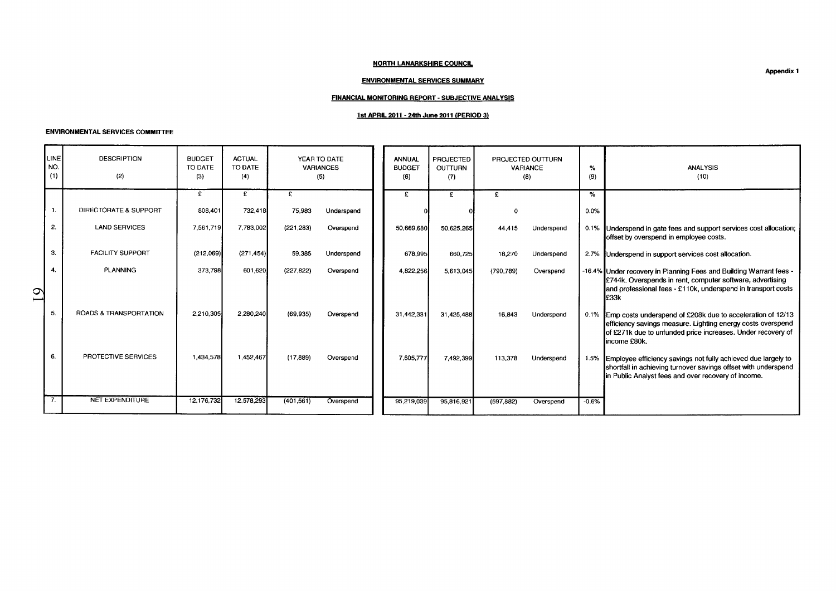### **NORTH LANARKSHIRE COUNCIL**

### **ENVIRONMENTAL SERVICES SUMMARY**

### **FINANCIAL MONITORING REPORT** - **SUBJECTIVE ANALYSIS**

## **1st APRIL 2011** - **24th June 2011 (PERIOD 3)**

#### **ENVIRONMENTAL SERVICES COMMITTEE**

|                                 |                                         |                                 |                                 |           |                                  | <b>NORTH LANARKSHIRE COUNCIL</b>                  |                                    |              |                                      |          |                                                                                                                                                                                                                       |
|---------------------------------|-----------------------------------------|---------------------------------|---------------------------------|-----------|----------------------------------|---------------------------------------------------|------------------------------------|--------------|--------------------------------------|----------|-----------------------------------------------------------------------------------------------------------------------------------------------------------------------------------------------------------------------|
|                                 |                                         |                                 |                                 |           |                                  |                                                   |                                    |              |                                      |          |                                                                                                                                                                                                                       |
|                                 |                                         |                                 |                                 |           |                                  |                                                   |                                    |              |                                      |          | <b>Appendix 1</b>                                                                                                                                                                                                     |
|                                 |                                         |                                 |                                 |           |                                  | <b>ENVIRONMENTAL SERVICES SUMMARY</b>             |                                    |              |                                      |          |                                                                                                                                                                                                                       |
|                                 |                                         |                                 |                                 |           |                                  | FINANCIAL MONITORING REPORT - SUBJECTIVE ANALYSIS |                                    |              |                                      |          |                                                                                                                                                                                                                       |
|                                 | <b>ENVIRONMENTAL SERVICES COMMITTEE</b> |                                 |                                 |           |                                  | 1st APRIL 2011 - 24th June 2011 (PERIOD 3)        |                                    |              |                                      |          |                                                                                                                                                                                                                       |
| LINE<br>NO.<br>(1)              | <b>DESCRIPTION</b><br>(2)               | <b>BUDGET</b><br>TO DATE<br>(3) | <b>ACTUAL</b><br>TO DATE<br>(4) |           | YEAR TO DATE<br>VARIANCES<br>(5) | <b>ANNUAL</b><br><b>BUDGET</b><br>(6)             | <b>PROJECTED</b><br>OUTTURN<br>(7) |              | PROJECTED OUTTURN<br>VARIANCE<br>(8) | %<br>(9) | ANALYSIS<br>(10)                                                                                                                                                                                                      |
|                                 |                                         | £                               | £                               | E         |                                  | $\mathbf{F}$                                      | E                                  | $\mathbf{f}$ |                                      |          |                                                                                                                                                                                                                       |
|                                 | DIRECTORATE & SUPPORT                   | 808,401                         | 732,418                         | 75,983    | Underspend                       |                                                   |                                    | $\Omega$     |                                      | $0.0\%$  |                                                                                                                                                                                                                       |
| 2.                              | <b>LAND SERVICES</b>                    | 7,561,719                       | 7,783,002                       | (221 283) | Overspend                        | 50,669,680                                        | 50,625,265                         | 44,415       | Underspend                           |          | 0.1% Underspend in gate fees and support services cost allocation;<br>offset by overspend in employee costs.                                                                                                          |
| $\cdot$ 3.                      | <b>FACILITY SUPPORT</b>                 | (212,069)                       | (271, 454)                      | 59,385    | Underspend                       | 678,995                                           | 660,725                            | 18,270       | Underspend                           |          | 2.7% Underspend in support services cost allocation.                                                                                                                                                                  |
| $\overline{4}$<br>$\mathcal{Q}$ | <b>PLANNING</b>                         | 373,798                         | 601,620                         | (227,822) | Overspend                        | 4,822,256                                         | 5,613,045                          | (790,789)    | Overspend                            |          | -16.4% Under recovery in Planning Fees and Building Warrant fees -<br>£744k. Overspends in rent, computer software, advertising<br>and professional fees - £110k, underspend in transport costs                       |
| - 5.                            | ROADS & TRANSPORTATION                  | 2,210,305                       | 2,280,240                       | (69, 935) | Overspend                        | 31,442,331                                        | 31,425,488                         | 16,843       | Underspend                           |          | E33k<br>0.1% Emp costs underspend of £208k due to acceleration of 12/13<br>efficiency savings measure. Lighting energy costs overspend<br>of £271k due to unfunded price increases. Under recovery of<br>income £80k. |
|                                 | PROTECTIVE SERVICES                     | 1,434,578                       | 1,452,467                       | (17, 889) | Overspend                        | 7,605,777                                         | 7,492,399                          |              | 113,378 Underspend                   |          | 1.5% Employee efficiency savings not fully achieved due largely to<br>shortfall in achieving turnover savings offset with underspend<br>in Public Analyst fees and over recovery of income.                           |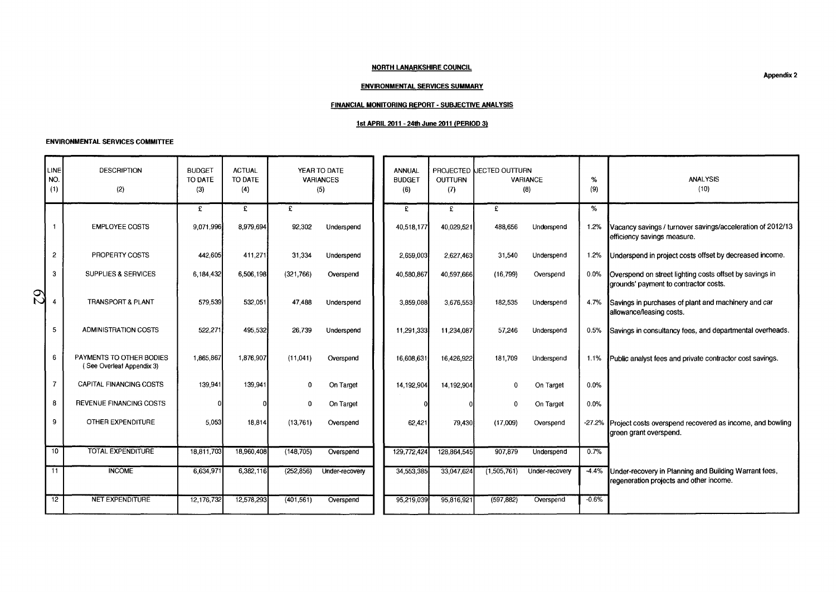## **NORTH LANARKSHIRE COUNCIL**

### **ENVIRONMENTAL SERVICES SUMMARY**

### **FINANCIAL MONITORING REPORT** - **SUBJECTIVE ANALYSIS**

## **1st APRIL 2011** - **24th JuW 2011 (PERIOD 3)**

|        | <b>NORTH LANARKSHIRE COUNCIL</b><br><b>Appendix 2</b><br><b>ENVIRONMENTAL SERVICES SUMMARY</b><br><b>FINANCIAL MONITORING REPORT - SUBJECTIVE ANALYSIS</b><br>1st APRIL 2011 - 24th June 2011 (PERIOD 3)<br><b>ENVIRONMENTAL SERVICES COMMITTEE</b> |                                                       |                                 |                                 |            |                                         |  |                                |                |                          |                 |          |                                                                                                  |  |  |
|--------|-----------------------------------------------------------------------------------------------------------------------------------------------------------------------------------------------------------------------------------------------------|-------------------------------------------------------|---------------------------------|---------------------------------|------------|-----------------------------------------|--|--------------------------------|----------------|--------------------------|-----------------|----------|--------------------------------------------------------------------------------------------------|--|--|
|        | LINE <sup></sup><br>NO.<br>(1)                                                                                                                                                                                                                      | <b>DESCRIPTION</b><br>(2)                             | <b>BUDGET</b><br>TO DATE<br>(3) | <b>ACTUAL</b><br>TO DATE<br>(4) |            | YEAR TO DATE<br><b>VARIANCES</b><br>(5) |  | ANNUAL<br><b>BUDGET</b><br>(6) | OUTTURN<br>(7) | PROJECTED LECTED OUTTURN | VARIANCE<br>(8) | %<br>(9) | <b>ANALYSIS</b><br>(10)                                                                          |  |  |
|        |                                                                                                                                                                                                                                                     |                                                       | £                               | £                               | £          |                                         |  | £                              | £              | $\overline{f}$           |                 | $\%$     |                                                                                                  |  |  |
|        | $\mathbf{1}$                                                                                                                                                                                                                                        | <b>EMPLOYEE COSTS</b>                                 | 9,071,996                       | 8,979,694                       | 92,302     | Underspend                              |  | 40,518,177                     | 40,029,521     | 488,656                  | Underspend      | 1.2%     | Vacancy savings / turnover savings/acceleration of 2012/13<br>efficiency savings measure.        |  |  |
|        | $\overline{a}$                                                                                                                                                                                                                                      | PROPERTY COSTS                                        | 442,605                         | 411,271                         | 31,334     | Underspend                              |  | 2,659,003                      | 2,627,463      | 31,540                   | Underspend      | 1.2%     | Underspend in project costs offset by decreased income.                                          |  |  |
|        | 3                                                                                                                                                                                                                                                   | SUPPLIES & SERVICES                                   | 6,184,432                       | 6,506,198                       | (321,766)  | Overspend                               |  | 40,580,867                     | 40,597,666     | (16, 799)                | Overspend       | 0.0%     | Overspend on street lighting costs offset by savings in<br>grounds' payment to contractor costs. |  |  |
| Q<br>Q | 4                                                                                                                                                                                                                                                   | TRANSPORT & PLANT                                     | 579,539                         | 532,051                         | 47,488     | Underspend                              |  | 3,859,088                      | 3,676,553      | 182,535                  | Underspend      | 4.7%     | Savings in purchases of plant and machinery and car<br>allowance/leasing costs.                  |  |  |
|        | $\mathbf{5}$                                                                                                                                                                                                                                        | ADMINISTRATION COSTS                                  | 522,271                         | 495,532                         | 26,739     | Underspend                              |  | 11,291,333                     | 11,234,087     | 57,246                   | Underspend      | 0.5%     | Savings in consultancy fees, and departmental overheads.                                         |  |  |
|        | 6                                                                                                                                                                                                                                                   | PAYMENTS TO OTHER BODIES<br>(See Overleaf Appendix 3) | 1,865,867                       | 1,876,907                       | (11,041)   | Overspend                               |  | 16,608,631                     | 16,426,922     | 181,709                  | Underspend      | 1.1%     | Public analyst fees and private contractor cost savings.                                         |  |  |
|        | $\overline{7}$                                                                                                                                                                                                                                      | CAPITAL FINANCING COSTS                               | 139,941                         | 139,941                         | 0          | On Target                               |  | 14,192,904                     | 14,192,904     | 0                        | On Target       | 0.0%     |                                                                                                  |  |  |
|        | 8                                                                                                                                                                                                                                                   | REVENUE FINANCING COSTS                               | 0                               |                                 | 0          | On Target                               |  |                                | -0             | 0                        | On Target       | 0.0%     |                                                                                                  |  |  |
|        | 9                                                                                                                                                                                                                                                   | OTHER EXPENDITURE                                     | 5,053                           | 18,814                          | (13,761)   | Overspend                               |  | 62,421                         | 79,430         | (17,009)                 | Overspend       |          | -27.2% Project costs overspend recovered as income, and bowling<br>green grant overspend.        |  |  |
|        | 10 <sub>1</sub>                                                                                                                                                                                                                                     | <b>TOTAL EXPENDITURE</b>                              | 18,811,703                      | 18,960,408                      | (148, 705) | Overspend                               |  | 129,772,424                    | 128,864,545    | 907,879                  | Underspend      | 0.7%     |                                                                                                  |  |  |
|        | 11                                                                                                                                                                                                                                                  | <b>INCOME</b>                                         | 6,634,971                       | 6,382,116                       | (252, 856) | Under-recovery                          |  | 34,553,385                     | 33,047,624     | (1,505,761)              | Under-recovery  | $-4.4%$  | Under-recovery in Planning and Building Warrant fees,<br>regeneration projects and other income. |  |  |
|        | $\overline{12}$                                                                                                                                                                                                                                     | <b>NET EXPENDITURE</b>                                | 12,176,732                      | 12,578,293                      | (401, 561) | Overspend                               |  | 95,219,039                     | 95,816,921     | (597, 882)               | Overspend       | $-0.6%$  |                                                                                                  |  |  |